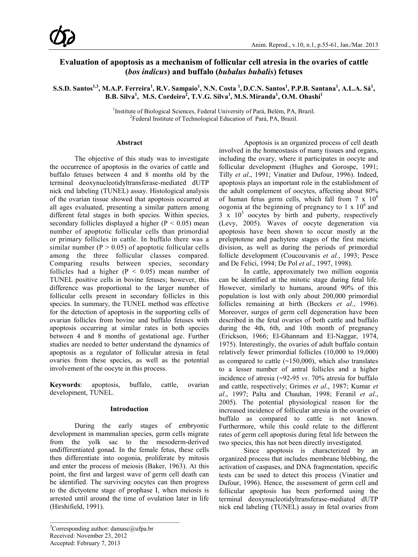# **Evaluation of apoptosis as a mechanism of follicular cell atresia in the ovaries of cattle (***bos indicus***) and buffalo (***bubalus bubalis***) fetuses**

# $\mathbf{S.S.D.}$  Santos<sup>1,3</sup>, M.A.P. Ferreira<sup>1</sup>, R.V. Sampaio<sup>1</sup>, N.N. Costa <sup>1</sup>, D.C.N. Santos<sup>1</sup>, P.P.B. Santana<sup>1</sup>, A.L.A. Sá<sup>1</sup>, **B.B. Silva<sup>1</sup> , M.S. Cordeiro<sup>2</sup> , T.V.G. Silva<sup>1</sup> , M.S. Miranda<sup>1</sup> , O.M. Ohashi1**

<sup>1</sup>Institute of Biological Sciences, Federal University of Pará, Belém, PA, Brazil. <sup>2</sup>Eederal Institute of Technological Education of Pará, PA, Brazil. <sup>2</sup> Federal Institute of Technological Education of Pará, PA, Brazil.

### **Abstract**

The objective of this study was to investigate the occurrence of apoptosis in the ovaries of cattle and buffalo fetuses between 4 and 8 months old by the terminal deoxynucleotidyltransferase-mediated dUTP nick end labeling (TUNEL) assay. Histological analysis of the ovarian tissue showed that apoptosis occurred at all ages evaluated, presenting a similar pattern among different fetal stages in both species. Within species, secondary follicles displayed a higher ( $P < 0.05$ ) mean number of apoptotic follicular cells than primordial or primary follicles in cattle. In buffalo there was a similar number ( $P > 0.05$ ) of apoptotic follicular cells among the three follicular classes compared. Comparing results between species, secondary follicles had a higher  $(P < 0.05)$  mean number of TUNEL positive cells in bovine fetuses; however, this difference was proportional to the larger number of follicular cells present in secondary follicles in this species. In summary, the TUNEL method was effective for the detection of apoptosis in the supporting cells of ovarian follicles from bovine and buffalo fetuses with apoptosis occurring at similar rates in both species between 4 and 8 months of gestational age. Further studies are needed to better understand the dynamics of apoptosis as a regulator of follicular atresia in fetal ovaries from these species, as well as the potential involvement of the oocyte in this process.

**Keywords**: apoptosis, buffalo, cattle, ovarian development, TUNEL.

## **Introduction**

During the early stages of embryonic development in mammalian species, germ cells migrate from the yolk sac to the mesoderm-derived undifferentiated gonad. In the female fetus, these cells then differentiate into oogonia, proliferate by mitosis and enter the process of meiosis (Baker, 1963). At this point, the first and largest wave of germ cell death can be identified. The surviving oocytes can then progress to the dictyotene stage of prophase I, when meiosis is arrested until around the time of ovulation later in life (Hirshifield, 1991).

\_\_\_\_\_\_\_\_\_\_\_\_\_\_\_\_\_\_\_\_\_\_\_\_\_\_\_\_\_\_\_\_\_\_\_\_\_\_\_\_\_

Apoptosis is an organized process of cell death involved in the homeostasis of many tissues and organs, including the ovary, where it participates in oocyte and follicular development (Hughes and Gorospe, 1991; Tilly *et al*., 1991; Vinatier and Dufour, 1996). Indeed, apoptosis plays an important role in the establishment of the adult complement of oocytes, affecting about 80% of human fetus germ cells, which fall from 7 x  $10^6$ oogonia at the beginning of pregnancy to 1 x  $10^6$  and  $3 \times 10^5$  oocytes by birth and puberty, respectively (Levy, 2005). Waves of oocyte degeneration via apoptosis have been shown to occur mostly at the preleptotene and pachytene stages of the first meiotic division, as well as during the periods of primordial follicle development (Coucouvanis *et al.*, 1993; Pesce and De Felici, 1994; De Pol *et al*., 1997, 1998).

In cattle, approximately two million oogonia can be identified at the mitotic stage during fetal life. However, similarly to humans, around 90% of this population is lost with only about 200,000 primordial follicles remaining at birth (Beckers *et al*., 1996). Moreover, surges of germ cell degeneration have been described in the fetal ovaries of both cattle and buffalo during the 4th, 6th, and 10th month of pregnancy (Erickson, 1966; El-Ghannam and El-Naggar, 1974, 1975). Interestingly, the ovaries of adult buffalo contain relatively fewer primordial follicles (10,000 to 19,000) as compared to cattle (∼150,000), which also translates to a lesser number of antral follicles and a higher incidence of atresia (∼92-95 *vs*. 70% atresia for buffalo and cattle, respectively; Grimes *et al*., 1987; Kumar *et al*., 1997; Palta and Chauhan, 1998; Feranil *et al*., 2005). The potential physiological reason for the increased incidence of follicular atresia in the ovaries of buffalo as compared to cattle is not known. Furthermore, while this could relate to the different rates of germ cell apoptosis during fetal life between the two species, this has not been directly investigated.

Since apoptosis is characterized by an organized process that includes membrane blebbing, the activation of caspases, and DNA fragmentation, specific tests can be used to detect this process (Vinatier and Dufour, 1996). Hence, the assessment of germ cell and follicular apoptosis has been performed using the terminal deoxynucleotidyltransferase-mediated dUTP nick end labeling (TUNEL) assay in fetal ovaries from

<sup>&</sup>lt;sup>3</sup>Corresponding author: damasc@ufpa.br Received: November 23, 2012 Accepted: February 7, 2013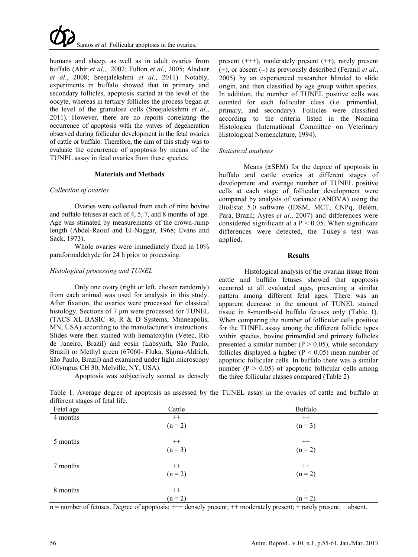

humans and sheep, as well as in adult ovaries from buffalo (Abir *et al*., 2002; Fulton *et al*., 2005; Aladaer *et al*., 2008; Sreejalekshmi *et al*., 2011). Notably, experiments in buffalo showed that in primary and secondary follicles, apoptosis started at the level of the oocyte, whereas in tertiary follicles the process began at the level of the granulosa cells (Sreejalekshmi *et al*., 2011). However, there are no reports correlating the occurrence of apoptosis with the waves of degeneration observed during follicular development in the fetal ovaries of cattle or buffalo. Therefore, the aim of this study was to evaluate the occurrence of apoptosis by means of the TUNEL assay in fetal ovaries from these species.

#### **Materials and Methods**

#### *Collection of ovaries*

Ovaries were collected from each of nine bovine and buffalo fetuses at each of 4, 5, 7, and 8 months of age. Age was stimated by measurements of the crown-rump length (Abdel-Raouf and El-Naggar, 1968; Evans and Sack, 1973).

Whole ovaries were immediately fixed in 10% paraformaldehyde for 24 h prior to processing.

#### *Histological processing and TUNEL*

Only one ovary (right or left, chosen randomly) from each animal was used for analysis in this study. After fixation, the ovaries were processed for classical histology. Sections of 7 μm were processed for TUNEL (TACS XL-BASIC ®, R & D Systems, Minneapolis, MN, USA) according to the manufacturer's instructions. Slides were then stained with hematoxylin (Vetec, Rio de Janeiro, Brazil) and eosin (Labsynth, São Paulo, Brazil) or Methyl green (67060- Fluka, Sigma-Aldrich, São Paulo, Brazil) and examined under light microscopy (Olympus CH 30, Melville, NY, USA).

Apoptosis was subjectively scored as densely

present  $(++)$ , moderately present  $(++)$ , rarely present (+), or absent (−) as previously described (Feranil *et al*., 2005) by an experienced researcher blinded to slide origin, and then classified by age group within species. In addition, the number of TUNEL positive cells was counted for each follicular class (i.e. primordial, primary, and secondary). Follicles were classified according to the criteria listed in the Nomina Histologica (International Committee on Veterinary Histological Nomenclature, 1994).

#### *Statistical analyses*

Means  $(\pm$ SEM) for the degree of apoptosis in buffalo and cattle ovaries at different stages of development and average number of TUNEL positive cells at each stage of follicular development were compared by analysis of variance (ANOVA) using the BioEstat 5.0 software (IDSM, MCT, CNPq, Belém, Pará, Brazil; Ayres *et al*., 2007) and differences were considered significant at a  $P < 0.05$ . When significant differences were detected, the Tukey´s test was applied.

#### **Results**

Histological analysis of the ovarian tissue from cattle and buffalo fetuses showed that apoptosis occurred at all evaluated ages, presenting a similar pattern among different fetal ages. There was an apparent decrease in the amount of TUNEL stained tissue in 8-month-old buffalo fetuses only (Table 1). When comparing the number of follicular cells positive for the TUNEL assay among the different follicle types within species, bovine primordial and primary follicles presented a similar number ( $P > 0.05$ ), while secondary follicles displayed a higher  $(P < 0.05)$  mean number of apoptotic follicular cells. In buffalo there was a similar number ( $P > 0.05$ ) of apoptotic follicular cells among the three follicular classes compared (Table 2).

Table 1. Average degree of apoptosis as assessed by the TUNEL assay in the ovaries of cattle and buffalo at different stages of fetal life.

| Fetal age | Cattle    | Buffalo   |  |  |
|-----------|-----------|-----------|--|--|
| 4 months  | $++$      | $++$      |  |  |
|           | $(n = 2)$ | $(n = 3)$ |  |  |
|           |           |           |  |  |
| 5 months  | $^{++}\,$ | $^{++}$   |  |  |
|           | $(n = 3)$ | $(n = 2)$ |  |  |
|           |           |           |  |  |
| 7 months  | $++$      | $^{++}$   |  |  |
|           | $(n = 2)$ | $(n = 2)$ |  |  |
|           |           |           |  |  |
| 8 months  | $^{++}\,$ | $^{+}$    |  |  |
|           | $(n = 2)$ | $(n = 2)$ |  |  |

n = number of fetuses. Degree of apoptosis: +++ densely present; ++ moderately present; + rarely present; − absent.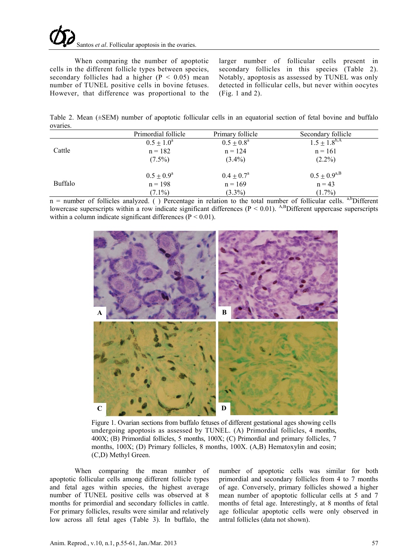When comparing the number of apoptotic cells in the different follicle types between species, secondary follicles had a higher  $(P < 0.05)$  mean number of TUNEL positive cells in bovine fetuses. However, that difference was proportional to the larger number of follicular cells present in secondary follicles in this species (Table 2). Notably, apoptosis as assessed by TUNEL was only detected in follicular cells, but never within oocytes (Fig. 1 and 2).

Table 2. Mean (±SEM) number of apoptotic follicular cells in an equatorial section of fetal bovine and buffalo ovaries.

|                | Primordial follicle | Primary follicle         | Secondary follicle  |
|----------------|---------------------|--------------------------|---------------------|
| Cattle         | $0.5 \pm 1.0^a$     | $0.5 \pm 0.8^{\text{a}}$ | $1.5 \pm 1.8^{b,A}$ |
|                | $n = 182$           | $n = 124$                | $n = 161$           |
|                | $(7.5\%)$           | $(3.4\%)$                | $(2.2\%)$           |
| <b>Buffalo</b> | $0.5 \pm 0.9^a$     | $0.4 \pm 0.7^{\rm a}$    | $0.5 \pm 0.9^{a,B}$ |
|                | $n = 198$           | $n = 169$                | $n = 43$            |
|                | $(7.1\%)$           | $(3.3\%)$                | $(1.7\%)$           |

 $n =$  number of follicles analyzed. () Percentage in relation to the total number of follicular cells. a,bDifferent lowercase superscripts within a row indicate significant differences ( $P < 0.01$ ). <sup>A,B</sup>Different uppercase superscripts within a column indicate significant differences ( $P < 0.01$ ).



Figure 1. Ovarian sections from buffalo fetuses of different gestational ages showing cells undergoing apoptosis as assessed by TUNEL. (A) Primordial follicles, 4 months, 400X; (B) Primordial follicles, 5 months, 100X; (C) Primordial and primary follicles, 7 months, 100X; (D) Primary follicles, 8 months, 100X. (A,B) Hematoxylin and eosin; (C,D) Methyl Green.

When comparing the mean number of apoptotic follicular cells among different follicle types and fetal ages within species, the highest average number of TUNEL positive cells was observed at 8 months for primordial and secondary follicles in cattle. For primary follicles, results were similar and relatively low across all fetal ages (Table 3). In buffalo, the

number of apoptotic cells was similar for both primordial and secondary follicles from 4 to 7 months of age. Conversely, primary follicles showed a higher mean number of apoptotic follicular cells at 5 and 7 months of fetal age. Interestingly, at 8 months of fetal age follicular apoptotic cells were only observed in antral follicles (data not shown).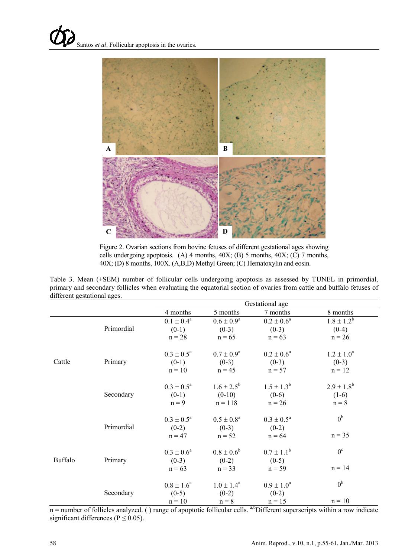

Figure 2. Ovarian sections from bovine fetuses of different gestational ages showing cells undergoing apoptosis. (A) 4 months, 40X; (B) 5 months, 40X; (C) 7 months, 40X; (D) 8 months, 100X. (A,B,D) Methyl Green; (C) Hematoxylin and eosin.

Table 3. Mean ( $\pm$ SEM) number of follicular cells undergoing apoptosis as assessed by TUNEL in primordial, primary and secondary follicles when evaluating the equatorial section of ovaries from cattle and buffalo fetuses of different gestational ages.

|                |            |                          | Gestational age       |                 |                 |  |
|----------------|------------|--------------------------|-----------------------|-----------------|-----------------|--|
|                |            | 4 months                 | 5 months              | 7 months        | 8 months        |  |
| Cattle         |            | $0.1 \pm 0.4^a$          | $0.6 \pm 0.9^{\rm a}$ | $0.2 \pm 0.6^a$ | $1.8 \pm 1.2^b$ |  |
|                | Primordial | $(0-1)$                  | $(0-3)$               | $(0-3)$         | $(0-4)$         |  |
|                |            | $n = 28$                 | $n = 65$              | $n = 63$        | $n = 26$        |  |
|                |            | $0.3 \pm 0.5^{\text{a}}$ | $0.7 \pm 0.9^{\rm a}$ | $0.2 \pm 0.6^a$ | $1.2 \pm 1.0^a$ |  |
|                | Primary    | $(0-1)$                  | $(0-3)$               | $(0-3)$         | $(0-3)$         |  |
|                |            | $n = 10$                 | $n = 45$              | $n = 57$        | $n = 12$        |  |
|                |            | $0.3 \pm 0.5^{\text{a}}$ | $1.6 \pm 2.5^{\rm b}$ | $1.5 \pm 1.3^b$ | $2.9 \pm 1.8^b$ |  |
|                | Secondary  | $(0-1)$                  | $(0-10)$              | $(0-6)$         | $(1-6)$         |  |
|                |            | $n = 9$                  | $n = 118$             | $n = 26$        | $n = 8$         |  |
| <b>Buffalo</b> |            | $0.3 \pm 0.5^{\text{a}}$ | $0.5 \pm 0.8^a$       | $0.3 \pm 0.5^a$ | 0 <sup>b</sup>  |  |
|                | Primordial | $(0-2)$                  | $(0-3)$               | $(0-2)$         |                 |  |
|                |            | $n = 47$                 | $n = 52$              | $n = 64$        | $n = 35$        |  |
|                |            | $0.3 \pm 0.6^a$          | $0.8 \pm 0.6^b$       | $0.7 \pm 1.1^b$ | $0^{\circ}$     |  |
|                | Primary    | $(0-3)$                  | $(0-2)$               | $(0-5)$         |                 |  |
|                |            | $n = 63$                 | $n = 33$              | $n = 59$        | $n = 14$        |  |
|                |            | $0.8 \pm 1.6^a$          | $1.0 \pm 1.4^a$       | $0.9 \pm 1.0^a$ | 0 <sup>b</sup>  |  |
|                | Secondary  | $(0-5)$                  | $(0-2)$               | $(0-2)$         |                 |  |
|                |            | $n = 10$                 | $n = 8$               | $n = 15$        | $n = 10$        |  |

 $n =$  number of follicles analyzed. ( ) range of apoptotic follicular cells. <sup>a,b</sup>Different superscripts within a row indicate significant differences ( $P \le 0.05$ ).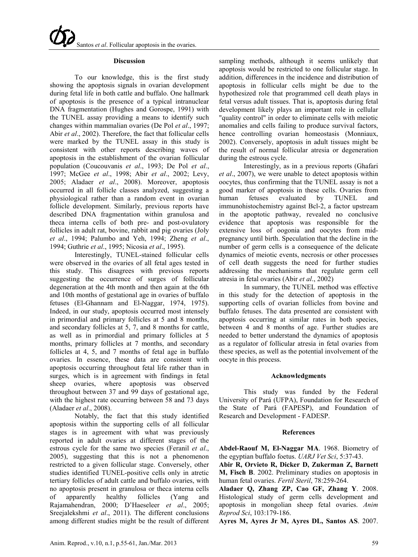#### **Discussion**

To our knowledge, this is the first study showing the apoptosis signals in ovarian development during fetal life in both cattle and buffalo. One hallmark of apoptosis is the presence of a typical intranuclear DNA fragmentation (Hughes and Gorospe, 1991) with the TUNEL assay providing a means to identify such changes within mammalian ovaries (De Pol *et al*., 1997; Abir *et al*., 2002). Therefore, the fact that follicular cells were marked by the TUNEL assay in this study is consistent with other reports describing waves of apoptosis in the establishment of the ovarian follicular population (Coucouvanis *et al*., 1993; De Pol *et al*., 1997; McGee *et al*., 1998; Abir *et al*., 2002; Levy, 2005; Aladaer *et al*., 2008). Moreover, apoptosis occurred in all follicle classes analyzed, suggesting a physiological rather than a random event in ovarian follicle development. Similarly, previous reports have described DNA fragmentation within granulosa and theca interna cells of both pre- and post-ovulatory follicles in adult rat, bovine, rabbit and pig ovaries (Joly *et al*., 1994; Palumbo and Yeh, 1994; Zheng *et al*., 1994; Guthrie *et al*., 1995; Nicosia *et al*., 1995).

Interestingly, TUNEL-stained follicular cells were observed in the ovaries of all fetal ages tested in this study. This disagrees with previous reports suggesting the occurrence of surges of follicular degeneration at the 4th month and then again at the 6th and 10th months of gestational age in ovaries of buffalo fetuses (El-Ghannam and El-Naggar, 1974, 1975). Indeed, in our study, apoptosis occurred most intensely in primordial and primary follicles at 5 and 8 months, and secondary follicles at 5, 7, and 8 months for cattle, as well as in primordial and primary follicles at 5 months, primary follicles at 7 months, and secondary follicles at 4, 5, and 7 months of fetal age in buffalo ovaries. In essence, these data are consistent with apoptosis occurring throughout fetal life rather than in surges, which is in agreement with findings in fetal sheep ovaries, where apoptosis was observed throughout between 37 and 99 days of gestational age, with the highest rate occurring between 58 and 73 days (Aladaer *et al*., 2008).

Notably, the fact that this study identified apoptosis within the supporting cells of all follicular stages is in agreement with what was previously reported in adult ovaries at different stages of the estrous cycle for the same two species (Feranil *et al*., 2005), suggesting that this is not a phenomenon restricted to a given follicular stage. Conversely, other studies identified TUNEL-positive cells only in atretic tertiary follicles of adult cattle and buffalo ovaries, with no apoptosis present in granulosa or theca interna cells of apparently healthy follicles (Yang and Rajamahendran, 2000; D'Haeseleer *et al*., 2005; Sreejalekshmi *et al*., 2011). The different conclusions among different studies might be the result of different

sampling methods, although it seems unlikely that apoptosis would be restricted to one follicular stage. In addition, differences in the incidence and distribution of apoptosis in follicular cells might be due to the hypothesized role that programmed cell death plays in fetal versus adult tissues. That is, apoptosis during fetal development likely plays an important role in cellular "quality control" in order to eliminate cells with meiotic anomalies and cells failing to produce survival factors, hence controlling ovarian homeostasis (Monniaux, 2002). Conversely, apoptosis in adult tissues might be the result of normal follicular atresia or degeneration during the estrous cycle.

Interestingly, as in a previous reports (Ghafari *et al*., 2007), we were unable to detect apoptosis within oocytes, thus confirming that the TUNEL assay is not a good marker of apoptosis in these cells. Ovaries from human fetuses evaluated by TUNEL and immunohistochemistry against Bcl-2, a factor upstream in the apoptotic pathway, revealed no conclusive evidence that apoptosis was responsible for the extensive loss of oogonia and oocytes from midpregnancy until birth. Speculation that the decline in the number of germ cells is a consequence of the delicate dynamics of meiotic events, necrosis or other processes of cell death suggests the need for further studies addressing the mechanisms that regulate germ cell atresia in fetal ovaries (Abir *et al*., 2002)

In summary, the TUNEL method was effective in this study for the detection of apoptosis in the supporting cells of ovarian follicles from bovine and buffalo fetuses. The data presented are consistent with apoptosis occurring at similar rates in both species, between 4 and 8 months of age. Further studies are needed to better understand the dynamics of apoptosis as a regulator of follicular atresia in fetal ovaries from these species, as well as the potential involvement of the oocyte in this process.

#### **Acknowledgments**

This study was funded by the Federal University of Pará (UFPA), Foundation for Research of the State of Pará (FAPESP), and Foundation of Research and Development - FADESP.

#### **References**

**Abdel-Raouf M, El-Naggar MA**. 1968. Biometry of the egyptian buffalo foetus. *UARJ Vet Sci*, 5:37-43.

**Abir R, Orvieto R, Dicker D, Zukerman Z, Barnett M, Fisch B**. 2002. Preliminary studies on apoptosis in human fetal ovaries. *Fertil Steril*, 78:259-264.

**Aladaer Q, Zhang ZP, Cao GF, Zhang Y**. 2008. Histological study of germ cells development and apoptosis in mongolian sheep fetal ovaries. *Anim Reprod Sci*, 103:179-186.

**Ayres M, Ayres Jr M, Ayres DL, Santos AS**. 2007.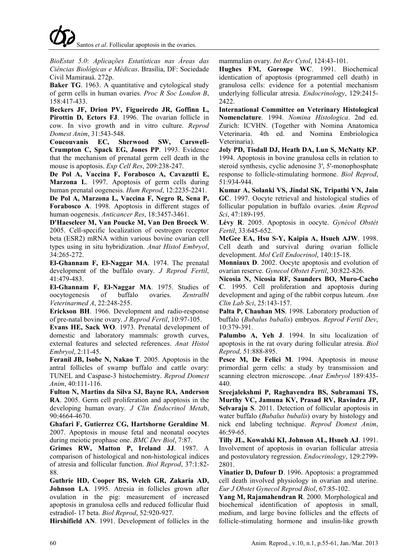*BioEstat 5.0*: *Aplicações Estatísticas nas Áreas das Ciências Biológicas e Médicas*. Brasília, DF: Sociedade Civil Mamirauá. 272p.

**Baker TG**. 1963. A quantitative and cytological study of germ cells in human ovaries. *Proc R Soc London B*, 158:417-433.

**Beckers JF, Drion PV, Figueiredo JR, Goffinn L, Pirottin D, Ectors FJ**. 1996. The ovarian follicle in cow. In vivo growth and in vitro culture. *Reprod Domest Anim*, 31:543-548.

**Coucouvanis EC, Sherwood SW, Carswell-Crumpton C, Spack EG, Jones PP**. 1993. Evidence that the mechanism of prenatal germ cell death in the mouse is apoptosis. *Exp Cell Res*, 209:238-247.

**De Pol A, Vaccina F, Forabosco A, Cavazutti E, Marzona L**. 1997. Apoptosis of germ cells during human prenatal oogenesis. *Hum Reprod*, 12:2235-2241.

**De Pol A, Marzona L, Vaccina F, Negro R, Sena P, Forabosco A**. 1998. Apoptosis in different stages of human oogenesis. *Anticancer Res*, 18:3457-3461.

**D'Haeseleer M, Van Poucke M, Van Den Broeck W**. 2005. Cell-specific localization of oestrogen receptor beta (ESR2) mRNA within various bovine ovarian cell types using in situ hybridization. *Anat Histol Embryol*, 34:265-272.

**El-Ghannam F, El-Naggar MA**. 1974. The prenatal development of the buffalo ovary. *J Reprod Fertil*, 41:479-483.

**El-Ghannam F, El-Naggar MA**. 1975. Studies of oocytogenesis of buffalo ovaries. *Zentralbl Veterinarmed A*, 22:248-255.

**Erickson BH**. 1966. Development and radio-response of pre-natal bovine ovary. *J Reprod Fertil*, 10:97-105.

**Evans HE, Sack WO**. 1973. Prenatal development of domestic and laboratory mammals: growth curves, external features and selected references. *Anat Histol Embryol*, 2:11-45.

**Feranil JB, Isobe N, Nakao T**. 2005. Apoptosis in the antral follicles of swamp buffalo and cattle ovary: TUNEL and Caspase-3 histochemistry. *Reprod Domest Anim*, 40:111-116.

**Fulton N, Martins da Silva SJ, Bayne RA, Anderson RA**. 2005. Germ cell proliferation and apoptosis in the developing human ovary. *J Clin Endocrinol Meta*b, 90:4664-4670.

**Ghafari F, Gutierrez CG, Hartshorne Geraldine M**. 2007. Apoptosis in mouse fetal and neonatal oocytes during meiotic prophase one. *BMC Dev Biol*, 7:87.

**Grimes RW, Matton P, Ireland JJ**. 1987. A comparison of histological and non-histological indices of atresia and follicular function. *Biol Reprod*, 37:1:82- 88.

**Guthrie HD, Cooper BS, Welch GR, Zakaria AD, Johnson LA**. 1995. Atresia in follicles grown after ovulation in the pig: measurement of increased apoptosis in granulosa cells and reduced follicular fluid estradiol- 17 beta. *Biol Reprod*, 52:920-927.

**Hirshifield AN**. 1991. Development of follicles in the

mammalian ovary. *Int Rev Cytol*, 124:43-101.

**Hughes FM, Gorospe WC**. 1991. Biochemical identication of apoptosis (programmed cell death) in granulosa cells: evidence for a potential mechanism underlying follicular atresia. *Endocrinology*, 129:2415- 2422.

**International Committee on Veterinary Histological Nomenclature**. 1994. *Nomina Histologica*. 2nd ed. Zurich: ICVHN. (Together with Nomina Anatomica Veterinaria. 4th ed. and Nomina Embriologica Veterinaria).

**Joly PD, Tisdall DJ, Heath DA, Lun S, McNatty KP**. 1994. Apoptosis in bovine granulosa cells in relation to steroid synthesis, cyclic adenosine 3', 5'-monophosphate response to follicle-stimulating hormone. *Biol Reprod*, 51:934-944.

**Kumar A, Solanki VS, Jindal SK, Tripathi VN, Jain GC**. 1997. Oocyte retrieval and histological studies of follicular population in buffalo ovaries. *Anim Reprod Sci*, 47:189-195.

**Lévy R**. 2005. Apoptosis in oocyte. *Gynécol Obstét Fertil*, 33:645-652.

**McGee EA, Hsu S-Y, Kaipia A, Hsueh AJW**. 1998. Cell death and survival during ovarian follicle development. *Mol Cell Endocrinol*, 140:15-18.

**Monniaux D**. 2002. Oocyte apoptosis and evolution of ovarian reserve. *Gynecol Obstet Fertil*, 30:822-826.

**Nicosia N, Nicosia RF, Saunders BO, Muro-Cacho C**. 1995. Cell proliferation and apoptosis during development and aging of the rabbit corpus luteum. *Ann Clin Lab Sci*, 25:143-157.

**Palta P, Chauhan MS**. 1998. Laboratory production of buffalo (*Bubalus bubalis*) embryos. *Reprod Fertil Dev*, 10:379-391.

**Palumbo A, Yeh J**. 1994. In situ localization of apoptosis in the rat ovary during follicular atresia. *Biol Reprod,* 51:888-895.

**Pesce M, De Felici M**. 1994. Apoptosis in mouse primordial germ cells: a study by transmission and scanning electron microscope. *Anat Embryol* 189:435- 440.

**Sreejalekshmi P, Raghavendra BS, Subramani TS, Murthy VC, Jamuna KV, Prasad RV, Ravindra JP, Selvaraju S**. 2011. Detection of follicular apoptosis in water buffalo (*Bubalus bubalis*) ovary by histology and nick end labeling technique. *Reprod Domest Anim*, 46:59-65.

**Tilly JL, Kowalski KI, Johnson AL, Hsueh AJ**. 1991. Involvement of apoptosis in ovarian follicular atresia and postovulatory regression. *Endocrinology*, 129:2799- 2801.

**Vinatier D, Dufour D**. 1996. Apoptosis: a programmed cell death involved physiology in ovarian and uterine. *Eur J Obstet Gynecol Reprod Biol*, 67:85-102.

**Yang M, Rajamahendran R**. 2000. Morphological and biochemical identification of apoptosis in small, medium, and large bovine follicles and the effects of follicle-stimulating hormone and insulin-like growth